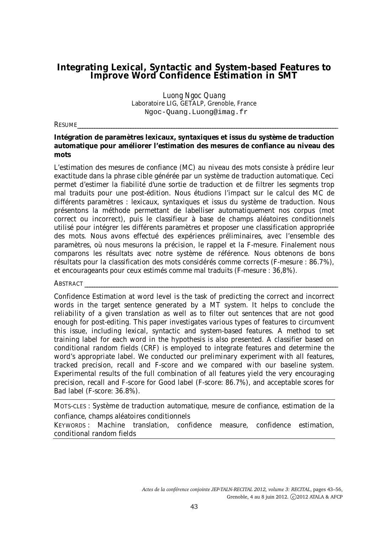# **Integrating Lexical, Syntactic and System-based Features to Improve Word Confidence Estimation in SMT**

*Luong Ngoc Quang* Laboratoire LIG, GETALP, Grenoble, France Ngoc-Quang.Luong@imag.fr

RESUME\_\_\_\_\_\_\_\_\_\_\_\_\_\_\_\_\_\_\_\_\_\_\_\_\_\_\_\_\_\_\_\_\_\_\_\_\_\_\_\_\_\_\_\_\_\_\_\_\_\_\_\_\_\_\_\_\_\_\_\_\_\_\_\_\_\_\_\_\_\_\_\_\_\_\_\_\_\_\_\_\_\_\_\_\_\_\_\_\_\_\_\_\_\_\_\_\_\_\_\_\_\_\_\_\_\_\_\_

#### **Intégration de paramètres lexicaux, syntaxiques et issus du système de traduction automatique pour améliorer l'estimation des mesures de confiance au niveau des mots**

L'estimation des mesures de confiance (MC) au niveau des mots consiste à prédire leur exactitude dans la phrase cible générée par un système de traduction automatique. Ceci permet d'estimer la fiabilité d'une sortie de traduction et de filtrer les segments trop mal traduits pour une post-édition. Nous étudions l'impact sur le calcul des MC de différents paramètres : lexicaux, syntaxiques et issus du système de traduction. Nous présentons la méthode permettant de labelliser automatiquement nos corpus (mot correct ou incorrect), puis le classifieur à base de champs aléatoires conditionnels utilisé pour intégrer les différents paramètres et proposer une classification appropriée des mots. Nous avons effectué des expériences préliminaires, avec l'ensemble des paramètres, où nous mesurons la précision, le rappel et la F-mesure. Finalement nous comparons les résultats avec notre système de référence. Nous obtenons de bons résultats pour la classification des mots considérés comme corrects (F-mesure : 86.7%), et encourageants pour ceux estimés comme mal traduits (F-mesure : 36,8%).

#### ABSTRACT \_\_\_\_\_\_\_\_\_\_\_\_\_\_\_\_\_\_\_\_\_\_\_\_\_\_\_\_\_\_\_\_\_\_\_\_\_\_\_\_\_\_\_\_\_\_\_\_\_\_\_\_\_\_\_\_\_\_\_\_\_\_\_\_\_\_\_\_\_\_\_\_\_\_\_\_\_\_\_\_\_\_\_\_\_\_\_\_\_\_\_\_\_\_\_\_\_\_\_\_\_\_\_\_\_

Confidence Estimation at word level is the task of predicting the correct and incorrect words in the target sentence generated by a MT system. It helps to conclude the reliability of a given translation as well as to filter out sentences that are not good enough for post-editing. This paper investigates various types of features to circumvent this issue, including lexical, syntactic and system-based features. A method to set training label for each word in the hypothesis is also presented. A classifier based on conditional random fields (CRF) is employed to integrate features and determine the word's appropriate label. We conducted our preliminary experiment with all features, tracked precision, recall and F-score and we compared with our baseline system. Experimental results of the full combination of all features yield the very encouraging precision, recall and F-score for Good label (F-score: 86.7%), and acceptable scores for Bad label (F-score: 36.8%).

MOTS-CLES : Système de traduction automatique, mesure de confiance, estimation de la confiance, champs aléatoires conditionnels

KEYWORDS : Machine translation, confidence measure, confidence estimation, conditional random fields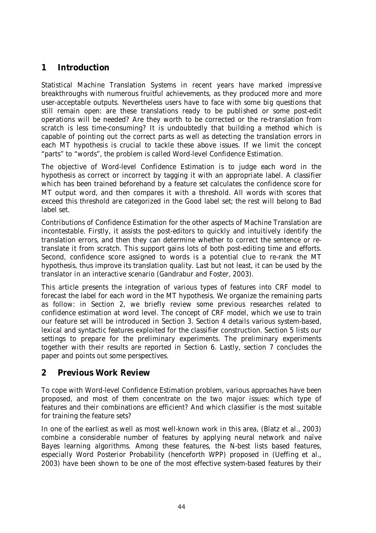# **1 Introduction**

Statistical Machine Translation Systems in recent years have marked impressive breakthroughs with numerous fruitful achievements, as they produced more and more user-acceptable outputs. Nevertheless users have to face with some big questions that still remain open: are these translations ready to be published or some post-edit operations will be needed? Are they worth to be corrected or the re-translation from scratch is less time-consuming? It is undoubtedly that building a method which is capable of pointing out the correct parts as well as detecting the translation errors in each MT hypothesis is crucial to tackle these above issues. If we limit the concept "parts" to "words", the problem is called Word-level Confidence Estimation.

The objective of Word-level Confidence Estimation is to judge each word in the hypothesis as correct or incorrect by tagging it with an appropriate label. A classifier which has been trained beforehand by a feature set calculates the confidence score for MT output word, and then compares it with a threshold. All words with scores that exceed this threshold are categorized in the Good label set; the rest will belong to Bad label set.

Contributions of Confidence Estimation for the other aspects of Machine Translation are incontestable. Firstly, it assists the post-editors to quickly and intuitively identify the translation errors, and then they can determine whether to correct the sentence or retranslate it from scratch. This support gains lots of both post-editing time and efforts. Second, confidence score assigned to words is a potential clue to re-rank the MT hypothesis, thus improve its translation quality. Last but not least, it can be used by the translator in an interactive scenario (Gandrabur and Foster, 2003).

This article presents the integration of various types of features into CRF model to forecast the label for each word in the MT hypothesis. We organize the remaining parts as follow: in Section 2, we briefly review some previous researches related to confidence estimation at word level. The concept of CRF model, which we use to train our feature set will be introduced in Section 3. Section 4 details various system-based, lexical and syntactic features exploited for the classifier construction. Section 5 lists our settings to prepare for the preliminary experiments. The preliminary experiments together with their results are reported in Section 6. Lastly, section 7 concludes the paper and points out some perspectives.

## **2 Previous Work Review**

To cope with Word-level Confidence Estimation problem, various approaches have been proposed, and most of them concentrate on the two major issues: which type of features and their combinations are efficient? And which classifier is the most suitable for training the feature sets?

In one of the earliest as well as most well-known work in this area, (Blatz et al., 2003) combine a considerable number of features by applying neural network and naïve Bayes learning algorithms. Among these features, the N-best lists based features, especially Word Posterior Probability (henceforth WPP) proposed in (Ueffing et al., 2003) have been shown to be one of the most effective system-based features by their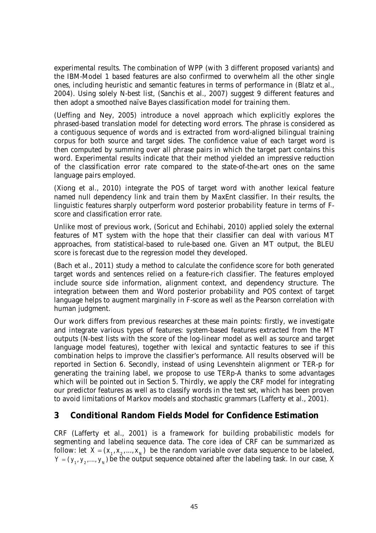experimental results. The combination of WPP (with 3 different proposed variants) and the IBM-Model 1 based features are also confirmed to overwhelm all the other single ones, including heuristic and semantic features in terms of performance in (Blatz et al., 2004). Using solely N-best list, (Sanchis et al., 2007) suggest 9 different features and then adopt a smoothed naïve Bayes classification model for training them.

(Ueffing and Ney, 2005) introduce a novel approach which explicitly explores the phrased-based translation model for detecting word errors. The phrase is considered as a contiguous sequence of words and is extracted from word-aligned bilingual training corpus for both source and target sides. The confidence value of each target word is then computed by summing over all phrase pairs in which the target part contains this word. Experimental results indicate that their method yielded an impressive reduction of the classification error rate compared to the state-of-the-art ones on the same language pairs employed.

(Xiong et al., 2010) integrate the POS of target word with another lexical feature named null dependency link and train them by MaxEnt classifier. In their results, the linguistic features sharply outperform word posterior probability feature in terms of Fscore and classification error rate.

Unlike most of previous work, (Soricut and Echihabi, 2010) applied solely the external features of MT system with the hope that their classifier can deal with various MT approaches, from statistical-based to rule-based one. Given an MT output, the BLEU score is forecast due to the regression model they developed.

(Bach et al., 2011) study a method to calculate the confidence score for both generated target words and sentences relied on a feature-rich classifier. The features employed include source side information, alignment context, and dependency structure. The integration between them and Word posterior probability and POS context of target language helps to augment marginally in F-score as well as the Pearson correlation with human judgment.

Our work differs from previous researches at these main points: firstly, we investigate and integrate various types of features: system-based features extracted from the MT outputs (N-best lists with the score of the log-linear model as well as source and target language model features), together with lexical and syntactic features to see if this combination helps to improve the classifier's performance. All results observed will be reported in Section 6. Secondly, instead of using Levenshtein alignment or TER-p for generating the training label, we propose to use TERp-A thanks to some advantages which will be pointed out in Section 5. Thirdly, we apply the CRF model for integrating our predictor features as well as to classify words in the test set, which has been proven to avoid limitations of Markov models and stochastic grammars (Lafferty et al., 2001).

## **3 Conditional Random Fields Model for Confidence Estimation**

CRF (Lafferty et al., 2001) is a framework for building probabilistic models for segmenting and labeling sequence data. The core idea of CRF can be summarized as follow: let  $X = (x_1, x_2, ..., x_n)$  be the random variable over data sequence to be labeled,  $Y = (y_1, y_2, ..., y_n)$  be the output sequence obtained after the labeling task. In our case, X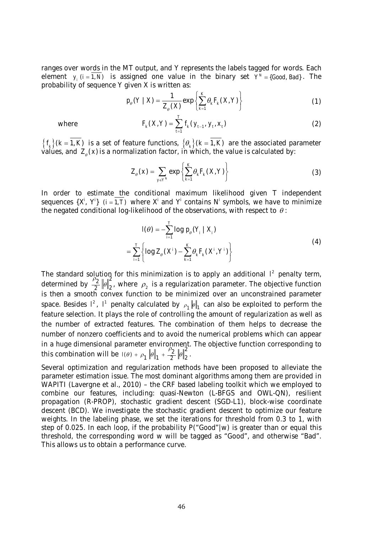ranges over words in the MT output, and Y represents the labels tagged for words. Each element  $y_i$  ( $i = 1, N$ ) is assigned one value in the binary set  $Y^N = \{Good, Bad\}$ . The probability of sequence Y given X is written as:

$$
p_{\theta}(Y \mid X) = \frac{1}{Z_{\theta}(X)} \exp \left\{ \sum_{k=1}^{K} \theta_{k} F_{k}(X, Y) \right\}
$$
(1)

where 
$$
F_k(X,Y) = \sum_{t=1}^t f_k(y_{t-1}, y_t, x_t)
$$
 (2)

 ${f_k}(k=1, K)$  is a set of feature functions,  ${0_k}(k=1, K)$  are the associated parameter values, and  $\left. Z_{_{\theta}}(x)\right.$  is a normalization factor, in which, the value is calculated by:

$$
Z_{\theta}(x) = \sum_{y \in Y^N} \exp \left\{ \sum_{k=1}^K \theta_k F_k(X, Y) \right\} \tag{3}
$$

In order to estimate the conditional maximum likelihood given T independent sequences {X<sup>i</sup>, Y<sup>i</sup>} (*i* = 1, *T*) where X<sup>i</sup> and Y<sup>i</sup> contains N<sup>i</sup> symbols, we have to minimize the negated conditional log-likelihood of the observations, with respect to  $\theta$ :

$$
I(\theta) = -\sum_{i=1}^{T} \log p_{\theta}(Y_{i} | X_{i})
$$
  
= 
$$
\sum_{i=1}^{T} \left\{ \log Z_{\theta}(X^{i}) - \sum_{k=1}^{K} \theta_{k} F_{k}(X^{i}, Y^{i}) \right\}
$$
 (4)

The standard solution for this minimization is to apply an additional  $l^2$  penalty term, determined by  $\frac{\rho_2}{r^2}$   $\|\theta\|_2^2$  $\frac{\rho_2}{2}$   $\|\theta\|_2^2$ , where  $\rho_2$  is a regularization parameter. The objective function is then a smooth convex function to be minimized over an unconstrained parameter space. Besides  $I^2$ ,  $I^1$  penalty calculated by  $\rho_1\|\theta\|_1$  can also be exploited to perform the feature selection. It plays the role of controlling the amount of regularization as well as the number of extracted features. The combination of them helps to decrease the number of nonzero coefficients and to avoid the numerical problems which can appear in a huge dimensional parameter environment. The objective function corresponding to this combination will be  $I(\theta) + \rho_1 \|\theta\|_1 + \frac{\rho_2}{2} \|\theta\|_2^2$ .

Several optimization and regularization methods have been proposed to alleviate the parameter estimation issue. The most dominant algorithms among them are provided in WAPITI (Lavergne et al., 2010) – the CRF based labeling toolkit which we employed to combine our features, including: quasi-Newton (L-BFGS and OWL-QN), resilient propagation (R-PROP), stochastic gradient descent (SGD-L1), block-wise coordinate descent (BCD). We investigate the stochastic gradient descent to optimize our feature weights. In the labeling phase, we set the iterations for threshold from 0.3 to 1, with step of 0.025. In each loop, if the probability P("Good"|w) is greater than or equal this threshold, the corresponding word w will be tagged as "Good", and otherwise "Bad". This allows us to obtain a performance curve.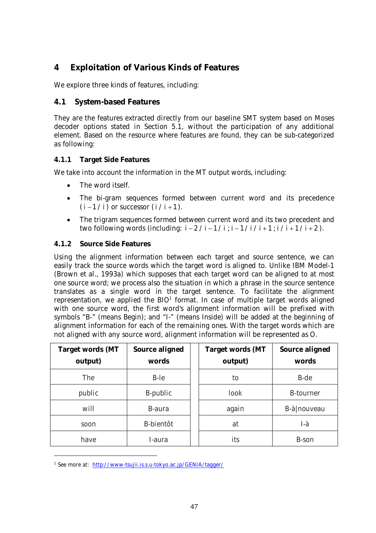# **4 Exploitation of Various Kinds of Features**

We explore three kinds of features, including:

## **4.1 System-based Features**

They are the features extracted directly from our baseline SMT system based on Moses decoder options stated in Section 5.1, without the participation of any additional element. Based on the resource where features are found, they can be sub-categorized as following:

### **4.1.1 Target Side Features**

We take into account the information in the MT output words, including:

- The word itself.
- The bi-gram sequences formed between current word and its precedence  $(i - 1 / i)$  or successor  $(i / i + 1)$ .
- The trigram sequences formed between current word and its two precedent and two following words (including:  $i - 2 / i - 1 / i$ ;  $i - 1 / i / i + 1$ ;  $i / i + 1 / i + 2$ ).

#### **4.1.2 Source Side Features**

Using the alignment information between each target and source sentence, we can easily track the source words which the target word is aligned to. Unlike IBM Model-1 (Brown et al., 1993a) which supposes that each target word can be aligned to at most one source word; we process also the situation in which a phrase in the source sentence translates as a single word in the target sentence. To facilitate the alignment representation, we applied the BIO<sup>1</sup> format. In case of multiple target words aligned with one source word, the first word's alignment information will be prefixed with symbols "B-" (means Begin); and "I-" (means Inside) will be added at the beginning of alignment information for each of the remaining ones. With the target words which are not aligned with any source word, alignment information will be represented as O.

| <b>Target words (MT</b><br>output) | Source aligned<br>words | <b>Target words (MT</b><br>output) | Source aligned<br>words |
|------------------------------------|-------------------------|------------------------------------|-------------------------|
| The                                | B-le                    | to                                 | B-de                    |
| public                             | B-public                | look                               | <b>B-tourner</b>        |
| will                               | B-aura                  | again                              | B-à nouveau             |
| soon                               | B-bientôt               | at                                 | l-à                     |
| have                               | I-aura                  | its                                | B-son                   |

<sup>1</sup> See more at: http://www-tsujii.is.s.u-tokyo.ac.jp/GENIA/tagger/

-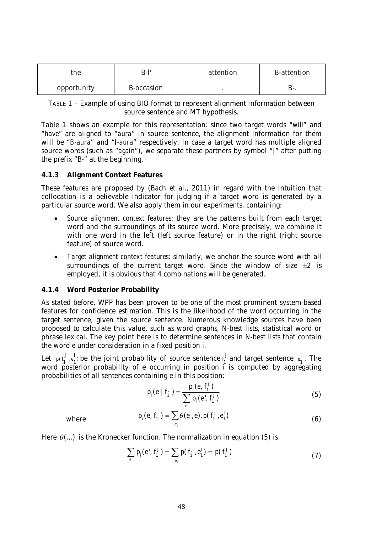| the         | B-l'       |  | attention | B-attention |  |
|-------------|------------|--|-----------|-------------|--|
| opportunity | B-occasion |  |           | D-          |  |

TABLE 1 – Example of using BIO format to represent alignment information between source sentence and MT hypothesis.

Table 1 shows an example for this representation: since two target words "*will*" and "*have*" are aligned to "*aura*" in source sentence, the alignment information for them will be "*B-aura*" and "*I-aura*" respectively. In case a target word has multiple aligned source words (such as "*again*"), we separate these partners by symbol "|" after putting the prefix "B-" at the beginning.

#### **4.1.3 Alignment Context Features**

These features are proposed by (Bach et al., 2011) in regard with the intuition that collocation is a believable indicator for judging if a target word is generated by a particular source word. We also apply them in our experiments, containing:

- *Source alignment context features*: they are the patterns built from each target word and the surroundings of its source word. More precisely, we combine it with one word in the left (left source feature) or in the right (right source feature) of source word.
- *Target alignment context features*: similarly, we anchor the source word with all surroundings of the current target word. Since the window of size  $\pm 2$  is employed, it is obvious that 4 combinations will be generated.

#### **4.1.4 Word Posterior Probability**

As stated before, WPP has been proven to be one of the most prominent system-based features for confidence estimation. This is the likelihood of the word occurring in the target sentence, given the source sentence. Numerous knowledge sources have been proposed to calculate this value, such as word graphs, N-best lists, statistical word or phrase lexical. The key point here is to determine sentences in N-best lists that contain the word *e* under consideration in a fixed position *i*.

Let  $p(t_1^j, e_1^j)$  be the joint probability of source sentence  $t_1^j$  and target sentence  $e_1^j$ . The word posterior probability of e occurring in position i is computed by aggregating probabilities of all sentences containing e in this position:

$$
p_i(e \mid f'_i) = \frac{p_i(e, f'_i)}{\sum_{e'} p_i(e', f'_i)}
$$
(5)

where

$$
p_{i}(e, f_{1}^{J}) = \sum_{i, e_{1}^{J}} \theta(e_{i}, e) . p(f_{1}^{J}, e_{1}^{J})
$$
\n(6)

Here  $\theta$ ...) is the Kronecker function. The normalization in equation (5) is

$$
\sum_{e'} p_i(e', f'_1) = \sum_{i,e'_1} p(f'_1, e'_1) = p(f'_1)
$$
\n(7)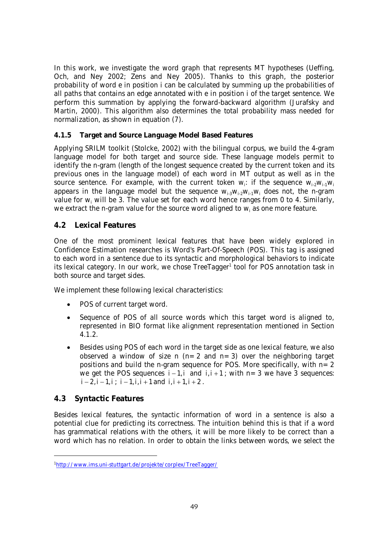In this work, we investigate the word graph that represents MT hypotheses (Ueffing, Och, and Ney 2002; Zens and Ney 2005). Thanks to this graph, the posterior probability of word e in position i can be calculated by summing up the probabilities of all paths that contains an edge annotated with e in position i of the target sentence. We perform this summation by applying the forward-backward algorithm (Jurafsky and Martin, 2000). This algorithm also determines the total probability mass needed for normalization, as shown in equation (7).

#### **4.1.5 Target and Source Language Model Based Features**

Applying SRILM toolkit (Stolcke, 2002) with the bilingual corpus, we build the 4-gram language model for both target and source side. These language models permit to identify the n-gram (length of the longest sequence created by the current token and its previous ones in the language model) of each word in MT output as well as in the source sentence. For example, with the current token  $w_i$ : if the sequence  $w_{i_2}w_{i_1}w_i$ appears in the language model but the sequence  $w_{i,3}w_{i,3}w_{i,4}w_i$  does not, the n-gram value for w<sup>i</sup> will be 3. The value set for each word hence ranges from 0 to 4. Similarly, we extract the n-gram value for the source word aligned to  $w_i$  as one more feature.

### **4.2 Lexical Features**

One of the most prominent lexical features that have been widely explored in Confidence Estimation researches is Word's Part-Of-Speech (POS). This tag is assigned to each word in a sentence due to its syntactic and morphological behaviors to indicate its lexical category. In our work, we chose TreeTagger<sup>1</sup> tool for POS annotation task in both source and target sides.

We implement these following lexical characteristics:

- POS of current target word.
- Sequence of POS of all source words which this target word is aligned to, represented in BIO format like alignment representation mentioned in Section 4.1.2.
- Besides using POS of each word in the target side as one lexical feature, we also observed a window of size n ( $n=2$  and  $n=3$ ) over the neighboring target positions and build the n-gram sequence for POS. More specifically, with  $n=2$ we get the POS sequences  $i - 1$ , *i* and  $i, i + 1$ ; with  $n = 3$  we have 3 sequences:  $i - 2$ ,  $i - 1$ ,  $i$ ;  $i - 1$ ,  $i$ ,  $i + 1$  and  $i$ ,  $i + 1$ ,  $i + 2$ .

### **4.3 Syntactic Features**

-

Besides lexical features, the syntactic information of word in a sentence is also a potential clue for predicting its correctness. The intuition behind this is that if a word has grammatical relations with the others, it will be more likely to be correct than a word which has no relation. In order to obtain the links between words, we select the

<sup>1</sup>http://www.ims.uni-stuttgart.de/projekte/corplex/TreeTagger/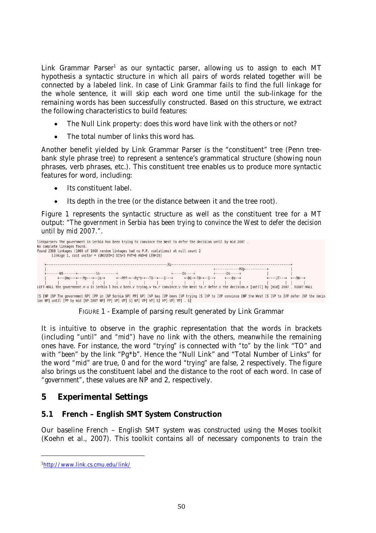Link Grammar Parser<sup>1</sup> as our syntactic parser, allowing us to assign to each MT hypothesis a syntactic structure in which all pairs of words related together will be connected by a labeled link. In case of Link Grammar fails to find the full linkage for the whole sentence, it will skip each word one time until the sub-linkage for the remaining words has been successfully constructed. Based on this structure, we extract the following characteristics to build features:

- The Null Link property: does this word have link with the others or not?
- The total number of links this word has.

Another benefit yielded by Link Grammar Parser is the "constituent" tree (Penn treebank style phrase tree) to represent a sentence's grammatical structure (showing noun phrases, verb phrases, etc.). This constituent tree enables us to produce more syntactic features for word, including:

- Its constituent label.
- Its depth in the tree (or the distance between it and the tree root).

Figure 1 represents the syntactic structure as well as the constituent tree for a MT output: *"The government in Serbia has been trying to convince the West to defer the decision until by mid 2007."*.



[S [NP [NP The government NP] [PP in [NP Serbia NP] PP] NP] [VP has [VP been [VP trying [S [VP to [VP convince [NP the West [S [VP to [VP defer [NP the decis<br>ion NP] until [PP by mid [NP 2007 NP] PP] VP] VP] S] WP] VP] VP

FIGURE 1 - Example of parsing result generated by Link Grammar

It is intuitive to observe in the graphic representation that the words in brackets (including *"until"* and *"mid"*) have no link with the others, meanwhile the remaining ones have. For instance, the word *"trying"* is connected with *"to"* by the link "TO" and with *"been"* by the link "Pg\*b". Hence the "Null Link" and "Total Number of Links" for the word *"mid"* are true, 0 and for the word *"trying"* are false, 2 respectively. The figure also brings us the constituent label and the distance to the root of each word. In case of *"government"*, these values are NP and 2, respectively.

## **5 Experimental Settings**

### **5.1 French – English SMT System Construction**

Our baseline French – English SMT system was constructed using the Moses toolkit (Koehn et al., 2007). This toolkit contains all of necessary components to train the

-

<sup>1</sup>http://www.link.cs.cmu.edu/link/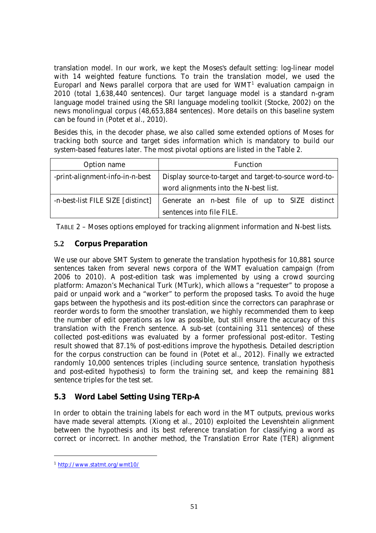translation model. In our work, we kept the Moses's default setting: log-linear model with 14 weighted feature functions. To train the translation model, we used the Europarl and News parallel corpora that are used for  $WMT<sup>1</sup>$  evaluation campaign in 2010 (total 1,638,440 sentences). Our target language model is a standard n-gram language model trained using the SRI language modeling toolkit (Stocke, 2002) on the news monolingual corpus (48,653,884 sentences). More details on this baseline system can be found in (Potet et al., 2010).

Besides this, in the decoder phase, we also called some extended options of Moses for tracking both source and target sides information which is mandatory to build our system-based features later. The most pivotal options are listed in the Table 2.

| Option name                       | Function                                               |  |  |  |  |  |  |  |
|-----------------------------------|--------------------------------------------------------|--|--|--|--|--|--|--|
| -print-alignment-info-in-n-best   | Display source-to-target and target-to-source word-to- |  |  |  |  |  |  |  |
|                                   | word alignments into the N-best list.                  |  |  |  |  |  |  |  |
| -n-best-list FILE SIZE [distinct] | Generate an n-best file of up to SIZE distinct         |  |  |  |  |  |  |  |
|                                   | sentences into file FILE.                              |  |  |  |  |  |  |  |

TABLE 2 – Moses options employed for tracking alignment information and N-best lists.

## **5.2 Corpus Preparation**

We use our above SMT System to generate the translation hypothesis for 10,881 source sentences taken from several news corpora of the WMT evaluation campaign (from 2006 to 2010). A post-edition task was implemented by using a crowd sourcing platform: Amazon's Mechanical Turk (MTurk), which allows a "requester" to propose a paid or unpaid work and a "worker" to perform the proposed tasks. To avoid the huge gaps between the hypothesis and its post-edition since the correctors can paraphrase or reorder words to form the smoother translation, we highly recommended them to keep the number of edit operations as low as possible, but still ensure the accuracy of this translation with the French sentence. A sub-set (containing 311 sentences) of these collected post-editions was evaluated by a former professional post-editor. Testing result showed that 87.1% of post-editions improve the hypothesis. Detailed description for the corpus construction can be found in (Potet et al., 2012). Finally we extracted randomly 10,000 sentences triples (including source sentence, translation hypothesis and post-edited hypothesis) to form the training set, and keep the remaining 881 sentence triples for the test set.

## **5.3 Word Label Setting Using TERp-A**

In order to obtain the training labels for each word in the MT outputs, previous works have made several attempts. (Xiong et al., 2010) exploited the Levenshtein alignment between the hypothesis and its best reference translation for classifying a word as correct or incorrect. In another method, the Translation Error Rate (TER) alignment

-

<sup>1</sup> http://www.statmt.org/wmt10/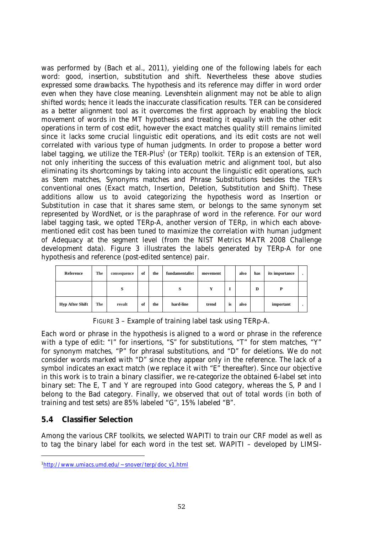was performed by (Bach et al., 2011), yielding one of the following labels for each word: good, insertion, substitution and shift. Nevertheless these above studies expressed some drawbacks. The hypothesis and its reference may differ in word order even when they have close meaning. Levenshtein alignment may not be able to align shifted words; hence it leads the inaccurate classification results. TER can be considered as a better alignment tool as it overcomes the first approach by enabling the block movement of words in the MT hypothesis and treating it equally with the other edit operations in term of cost edit, however the exact matches quality still remains limited since it lacks some crucial linguistic edit operations, and its edit costs are not well correlated with various type of human judgments. In order to propose a better word label tagging, we utilize the TER-Plus<sup>1</sup> (or TERp) toolkit. TERp is an extension of TER, not only inheriting the success of this evaluation metric and alignment tool, but also eliminating its shortcomings by taking into account the linguistic edit operations, such as Stem matches, Synonyms matches and Phrase Substitutions besides the TER's conventional ones (Exact match, Insertion, Deletion, Substitution and Shift). These additions allow us to avoid categorizing the hypothesis word as Insertion or Substitution in case that it shares same stem, or belongs to the same synonym set represented by WordNet, or is the paraphrase of word in the reference. For our word label tagging task, we opted TERp-A, another version of TERp, in which each abovementioned edit cost has been tuned to maximize the correlation with human judgment of Adequacy at the segment level (from the NIST Metrics MATR 2008 Challenge development data). Figure 3 illustrates the labels generated by TERp-A for one hypothesis and reference (post-edited sentence) pair.

| Reference              | The | consequence | of | the | fundamentalist | movement |    | also | has | its importance | $\cdot$ |
|------------------------|-----|-------------|----|-----|----------------|----------|----|------|-----|----------------|---------|
|                        |     | S           |    |     |                | Y        | I  |      | D   | D              |         |
| <b>Hyp After Shift</b> | The | result      | of | the | hard-line      | trend    | is | also |     | important      | ٠       |

FIGURE 3 – Example of training label task using TERp-A.

Each word or phrase in the hypothesis is aligned to a word or phrase in the reference with a type of edit: "I" for insertions, "S" for substitutions, "T" for stem matches, "Y" for synonym matches, "P" for phrasal substitutions, and "D" for deletions. We do not consider words marked with "D" since they appear only in the reference. The lack of a symbol indicates an exact match (we replace it with "E" thereafter). Since our objective in this work is to train a binary classifier, we re-categorize the obtained 6-label set into binary set: The E, T and Y are regrouped into Good category, whereas the S, P and I belong to the Bad category. Finally, we observed that out of total words (in both of training and test sets) are 85% labeled "G", 15% labeled "B".

### **5.4 Classifier Selection**

-

Among the various CRF toolkits, we selected WAPITI to train our CRF model as well as to tag the binary label for each word in the test set. WAPITI – developed by LIMSI-

<sup>1</sup>http://www.umiacs.umd.edu/~snover/terp/doc\_v1.html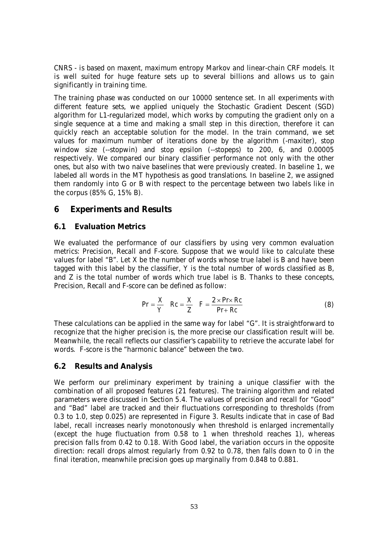CNRS - is based on maxent, maximum entropy Markov and linear-chain CRF models. It is well suited for huge feature sets up to several billions and allows us to gain significantly in training time.

The training phase was conducted on our 10000 sentence set. In all experiments with different feature sets, we applied uniquely the Stochastic Gradient Descent (SGD) algorithm for L1-regularized model, which works by computing the gradient only on a single sequence at a time and making a small step in this direction, therefore it can quickly reach an acceptable solution for the model. In the train command, we set values for maximum number of iterations done by the algorithm (-maxiter), stop window size (--stopwin) and stop epsilon (--stopeps) to 200, 6, and 0.00005 respectively. We compared our binary classifier performance not only with the other ones, but also with two naive baselines that were previously created. In baseline 1, we labeled all words in the MT hypothesis as good translations. In baseline 2, we assigned them randomly into G or B with respect to the percentage between two labels like in the corpus (85% G, 15% B).

## **6 Experiments and Results**

## **6.1 Evaluation Metrics**

We evaluated the performance of our classifiers by using very common evaluation metrics: Precision, Recall and F-score. Suppose that we would like to calculate these values for label "B". Let X be the number of words whose true label is B and have been tagged with this label by the classifier, Y is the total number of words classified as B, and Z is the total number of words which true label is B. Thanks to these concepts, Precision, Recall and F-score can be defined as follow:

$$
Pr = \frac{X}{Y} \quad Rc = \frac{X}{Z} \quad F = \frac{2 \times Pr \times Rc}{Pr + Rc}
$$
 (8)

These calculations can be applied in the same way for label "G". It is straightforward to recognize that the higher precision is, the more precise our classification result will be. Meanwhile, the recall reflects our classifier's capability to retrieve the accurate label for words. F-score is the "harmonic balance" between the two.

### **6.2 Results and Analysis**

We perform our preliminary experiment by training a unique classifier with the combination of all proposed features (21 features). The training algorithm and related parameters were discussed in Section 5.4. The values of precision and recall for "Good" and "Bad" label are tracked and their fluctuations corresponding to thresholds (from 0.3 to 1.0, step 0.025) are represented in Figure 3. Results indicate that in case of Bad label, recall increases nearly monotonously when threshold is enlarged incrementally (except the huge fluctuation from 0.58 to 1 when threshold reaches 1), whereas precision falls from 0.42 to 0.18. With Good label, the variation occurs in the opposite direction: recall drops almost regularly from 0.92 to 0.78, then falls down to 0 in the final iteration, meanwhile precision goes up marginally from 0.848 to 0.881.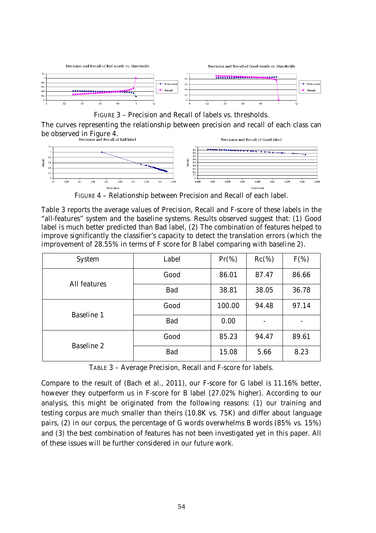

FIGURE 3 – Precision and Recall of labels vs. thresholds.

The curves representing the relationship between precision and recall of each class can be observed in Figure 4.<br>**Precision and Recall of Bad label** 



FIGURE 4 – Relationship between Precision and Recall of each label.

Table 3 reports the average values of Precision, Recall and F-score of these labels in the "all-features" system and the baseline systems. Results observed suggest that: (1) Good label is much better predicted than Bad label, (2) The combination of features helped to improve significantly the classifier's capacity to detect the translation errors (which the improvement of 28.55% in terms of F score for B label comparing with baseline 2).

| System       | Label | $Pr(\% )$ | $Rc(\%)$ | $F(\%)$ |
|--------------|-------|-----------|----------|---------|
| All features | Good  | 86.01     | 87.47    | 86.66   |
|              | Bad   | 38.81     | 38.05    | 36.78   |
| Baseline 1   | Good  | 100.00    | 94.48    | 97.14   |
|              | Bad   | 0.00      |          |         |
| Baseline 2   | Good  | 85.23     | 94.47    | 89.61   |
|              | Bad   | 15.08     | 5.66     | 8.23    |

TABLE 3 – Average Precision, Recall and F-score for labels.

Compare to the result of (Bach et al., 2011), our F-score for G label is 11.16% better, however they outperform us in F-score for B label (27.02% higher). According to our analysis, this might be originated from the following reasons: (1) our training and testing corpus are much smaller than theirs (10.8K vs. 75K) and differ about language pairs, (2) in our corpus, the percentage of G words overwhelms B words (85% vs. 15%) and (3) the best combination of features has not been investigated yet in this paper. All of these issues will be further considered in our future work.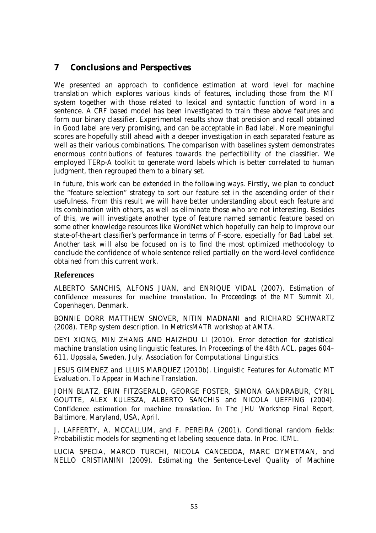# **7 Conclusions and Perspectives**

We presented an approach to confidence estimation at word level for machine translation which explores various kinds of features, including those from the MT system together with those related to lexical and syntactic function of word in a sentence. A CRF based model has been investigated to train these above features and form our binary classifier. Experimental results show that precision and recall obtained in Good label are very promising, and can be acceptable in Bad label. More meaningful scores are hopefully still ahead with a deeper investigation in each separated feature as well as their various combinations. The comparison with baselines system demonstrates enormous contributions of features towards the perfectibility of the classifier. We employed TERp-A toolkit to generate word labels which is better correlated to human judgment, then regrouped them to a binary set.

In future, this work can be extended in the following ways. Firstly, we plan to conduct the "feature selection" strategy to sort our feature set in the ascending order of their usefulness. From this result we will have better understanding about each feature and its combination with others, as well as eliminate those who are not interesting. Besides of this, we will investigate another type of feature named semantic feature based on some other knowledge resources like WordNet which hopefully can help to improve our state-of-the-art classifier's performance in terms of F-score, especially for Bad Label set. Another task will also be focused on is to find the most optimized methodology to conclude the confidence of whole sentence relied partially on the word-level confidence obtained from this current work.

### **References**

ALBERTO SANCHIS, ALFONS JUAN, and ENRIQUE VIDAL (2007). Estimation of confidence measures for machine translation. In *Proceedings of the MT Summit XI*, Copenhagen, Denmark.

BONNIE DORR MATTHEW SNOVER, NITIN MADNANI and RICHARD SCHWARTZ (2008). TERp system description. In *MetricsMATR workshop at AMTA*.

DEYI XIONG, MIN ZHANG AND HAIZHOU LI (2010). Error detection for statistical machine translation using linguistic features. In *Proceedings of the 48th ACL*, pages 604– 611, Uppsala, Sweden, July. Association for Computational Linguistics.

JESUS GIMENEZ and LLUIS MARQUEZ (2010b). Linguistic Features for Automatic MT Evaluation. *To Appear in Machine Translation.*

JOHN BLATZ, ERIN FITZGERALD, GEORGE FOSTER, SIMONA GANDRABUR, CYRIL GOUTTE, ALEX KULESZA, ALBERTO SANCHIS and NICOLA UEFFING (2004). Confidence estimation for machine translation. In *The JHU Workshop Final Report*, Baltimore, Maryland, USA, April.

J. LAFFERTY, A. MCCALLUM, and F. PEREIRA (2001). Conditional random fields: Probabilistic models for segmenting et labeling sequence data. In *Proc. ICML*.

LUCIA SPECIA, MARCO TURCHI, NICOLA CANCEDDA, MARC DYMETMAN, and NELLO CRISTIANINI (2009). Estimating the Sentence-Level Quality of Machine